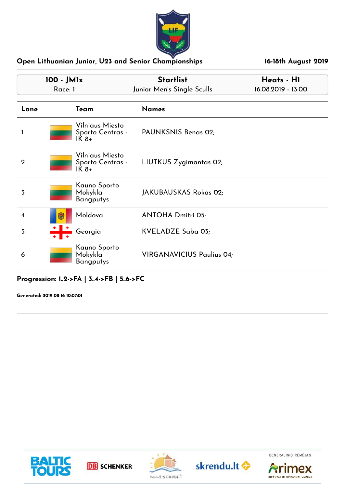

| 100 - JM1x<br>Race: 1 |   |                                               | <b>Startlist</b><br>Junior Men's Single Sculls | Heats - HI<br>16.08.2019 - 13:00 |
|-----------------------|---|-----------------------------------------------|------------------------------------------------|----------------------------------|
| Lane                  |   | Team                                          | <b>Names</b>                                   |                                  |
|                       |   | Vilniaus Miesto<br>Sporto Centras -<br>$IK8+$ | PAUNKSNIS Benas 02;                            |                                  |
| $\mathbf 2$           |   | Vilniaus Miesto<br>Sporto Centras -<br>$IK8+$ | LIUTKUS Zygimantas 02;                         |                                  |
| 3                     |   | Kauno Sporto<br>Mokykla<br><b>Bangputys</b>   | JAKUBAUSKAS Rokas 02;                          |                                  |
| 4                     | 鯻 | Moldova                                       | <b>ANTOHA Dmitri 05;</b>                       |                                  |
| 5                     |   | Georgia                                       | KVELADZE Saba 03;                              |                                  |
| 6                     |   | Kauno Sporto<br>Mokykla<br><b>Bangputys</b>   | <b>VIRGANAVICIUS Paulius 04;</b>               |                                  |

**Progression: 1..2->FA | 3..4->FB | 5..6->FC**









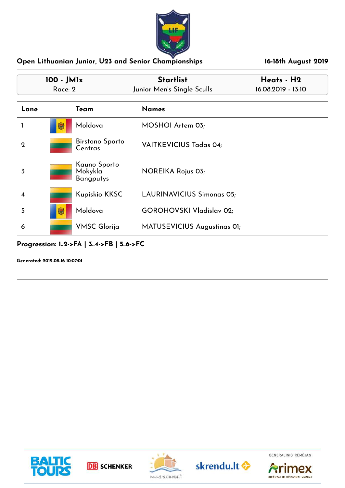

| 100 - JM <sub>lx</sub><br>Race: 2 |   |                                             | <b>Startlist</b><br>Junior Men's Single Sculls | Heats - H2<br>16.08.2019 - 13:10 |
|-----------------------------------|---|---------------------------------------------|------------------------------------------------|----------------------------------|
| Lane                              |   | Team                                        | <b>Names</b>                                   |                                  |
|                                   | 闚 | Moldova                                     | MOSHOI Artem 03;                               |                                  |
| $\mathbf 2$                       |   | Birstono Sporto<br>Centras                  | <b>VAITKEVICIUS Tadas 04;</b>                  |                                  |
| 3                                 |   | Kauno Sporto<br>Mokykla<br><b>Bangputys</b> | NOREIKA Rojus 03;                              |                                  |
| 4                                 |   | Kupiskio KKSC                               | <b>LAURINAVICIUS Simonas 05;</b>               |                                  |
| 5                                 | 臟 | Moldova                                     | <b>GOROHOVSKI Vladislav 02;</b>                |                                  |
| 6                                 |   | <b>VMSC Glorija</b>                         | MATUSEVICIUS Augustinas 01;                    |                                  |

## **Progression: 1..2->FA | 3..4->FB | 5..6->FC**











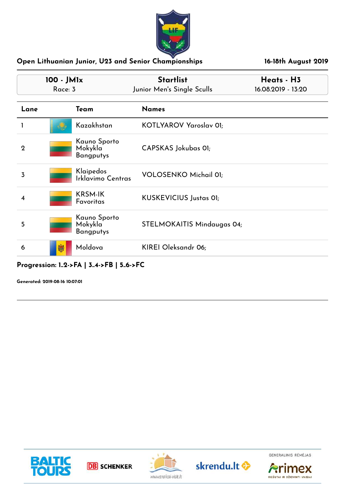

|             | 100 - JM1x<br>Race: 3 |                                               | <b>Startlist</b><br>Junior Men's Single Sculls | Heats - H3<br>16.08.2019 - 13:20 |  |
|-------------|-----------------------|-----------------------------------------------|------------------------------------------------|----------------------------------|--|
| Lane        |                       | Team                                          | <b>Names</b>                                   |                                  |  |
|             |                       | Kazakhstan                                    | KOTLYAROV Yaroslav 01;                         |                                  |  |
| $\mathbf 2$ |                       | Kauno Sporto<br>Mokykla<br><b>Bangputys</b>   | CAPSKAS Jokubas 01;                            |                                  |  |
| 3           |                       | Klaipedos<br>Irklavimo Centras                | <b>VOLOSENKO Michail 01;</b>                   |                                  |  |
| 4           |                       | <b>KRSM-IK</b><br>Favoritas                   | <b>KUSKEVICIUS Justas 01;</b>                  |                                  |  |
| 5           |                       | Kauno Sporto<br>Mokykla<br><b>Bangputys</b>   | STELMOKAITIS Mindaugas 04;                     |                                  |  |
| 6           | 贓                     | Moldova                                       | KIREI Oleksandr 06;                            |                                  |  |
|             |                       | $D_{\text{reaction}}$ , $1.9.561134.5R156.5C$ |                                                |                                  |  |

**Progression: 1..2->FA | 3..4->FB | 5..6->FC**

**Generated: 2019-08-16 10:07:01**







skrendu.lt <>



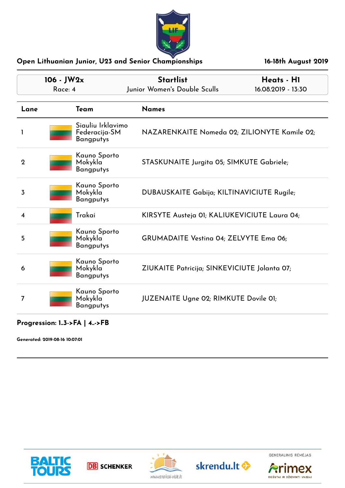

|                         | 106 - JW2x<br>Race: 4 |                                                        | <b>Startlist</b><br>Junior Women's Double Sculls | Heats - HI<br>16.08.2019 - 13:30 |
|-------------------------|-----------------------|--------------------------------------------------------|--------------------------------------------------|----------------------------------|
| Lane                    |                       | Team                                                   | <b>Names</b>                                     |                                  |
| $\mathbf{I}$            |                       | Siauliu Irklavimo<br>Federacija-SM<br><b>Bangputys</b> | NAZARENKAITE Nomeda 02; ZILIONYTE Kamile 02;     |                                  |
| $\mathbf{2}$            |                       | Kauno Sporto<br>Mokykla<br><b>Bangputys</b>            | STASKUNAITE Jurgita 05; SIMKUTE Gabriele;        |                                  |
| 3                       |                       | Kauno Sporto<br>Mokykla<br><b>Bangputys</b>            | DUBAUSKAITE Gabija; KILTINAVICIUTE Rugile;       |                                  |
| $\overline{\mathbf{4}}$ |                       | Trakai                                                 | KIRSYTE Austeja 01; KALIUKEVICIUTE Laura 04;     |                                  |
| 5                       |                       | Kauno Sporto<br>Mokykla<br><b>Bangputys</b>            | <b>GRUMADAITE Vesting 04; ZELVYTE Emg 06;</b>    |                                  |
| 6                       |                       | Kauno Sporto<br>Mokykla<br><b>Bangputys</b>            | ZIUKAITE Patricija; SINKEVICIUTE Jolanta 07;     |                                  |
| 7                       |                       | Kauno Sporto<br>Mokykla<br><b>Bangputys</b>            | JUZENAITE Ugne 02; RIMKUTE Dovile 01;            |                                  |

**Progression: 1..3->FA | 4..->FB**









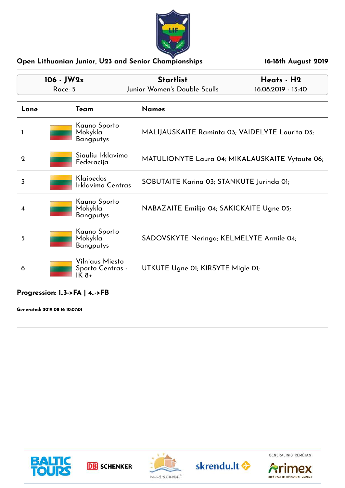

|             | $106 - JW2x$<br>Race: 5 |                                     | <b>Startlist</b><br>Junior Women's Double Sculls | Heats - H2<br>16.08.2019 - 13:40                |
|-------------|-------------------------|-------------------------------------|--------------------------------------------------|-------------------------------------------------|
| Lane        | Team                    | <b>Names</b>                        |                                                  |                                                 |
|             | Mokykla                 | Kauno Sporto<br><b>Bangputys</b>    |                                                  | MALIJAUSKAITE Raminta 03; VAIDELYTE Laurita 03; |
| $\mathbf 2$ | Federacija              | Siauliu Irklavimo                   |                                                  | MATULIONYTE Laura 04; MIKALAUSKAITE Vytaute 06; |
| 3           | Klaipedos               | Irklavimo Centras                   | SOBUTAITE Karina 03; STANKUTE Jurinda 01;        |                                                 |
| 4           | Mokykla                 | Kauno Sporto<br><b>Bangputys</b>    | NABAZAITE Emilija 04; SAKICKAITE Ugne 05;        |                                                 |
| 5           | Mokykla                 | Kauno Sporto<br><b>Bangputys</b>    | SADOVSKYTE Neringa; KELMELYTE Armile 04;         |                                                 |
| 6           | IK 8+                   | Vilniaus Miesto<br>Sporto Centras - | UTKUTE Ugne OI; KIRSYTE Migle OI;                |                                                 |

## **Progression: 1..3->FA | 4..->FB**











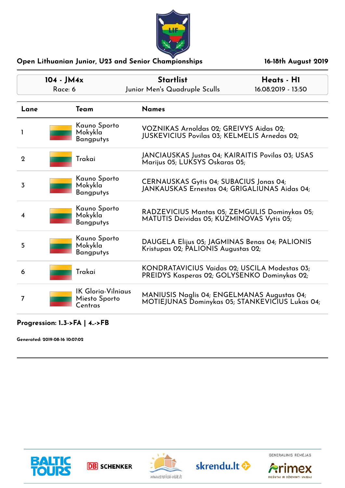

|                | $104 - JM4x$<br>Race: 6 |                                                       | <b>Startlist</b><br>Junior Men's Quadruple Sculls                                              | Heats - H1<br>16.08.2019 - 13:50                |
|----------------|-------------------------|-------------------------------------------------------|------------------------------------------------------------------------------------------------|-------------------------------------------------|
| Lane           |                         | Team                                                  | <b>Names</b>                                                                                   |                                                 |
| 1              |                         | Kauno Sporto<br>Mokykla<br>Bangputys                  | VOZNIKAS Arnoldas 02; GREIVYS Aidas 02;<br><b>JUSKEVICIUS Povilas 03; KELMELIS Arnedas 02;</b> |                                                 |
| $\overline{2}$ |                         | Trakai                                                | JANCIAUSKAS Justas 04; KAIRAITIS Povilas 03; USAS<br>Marijus 05; LUKSYS Oskaras 05;            |                                                 |
| 3              |                         | Kauno Sporto<br>Mokykla<br><b>Bangputys</b>           | CERNAUSKAS Gytis 04; SUBACIUS Jonas 04;<br>JANKAUSKAS Ernestas 04; GRIGALIUNAS Aidas 04;       |                                                 |
| 4              |                         | Kauno Sporto<br>Mokykla<br><b>Bangputys</b>           | RADZEVICIUS Mantas 05; ZEMGULIS Dominykas 05;<br>MATUTIS Deividas 05; KUZMINOVAS Vytis 05;     |                                                 |
| 5              |                         | Kauno Sporto<br>Mokykla<br><b>Bangputys</b>           | DAUGELA Elijus 05; JAGMINAS Benas 04; PALIONIS<br>Kristupas 02; PALIONIS Augustas 02;          |                                                 |
| 6              |                         | Trakai                                                | KONDRATAVICIUS Vaidas 02; USCILA Modestas 03;<br>PREIDYS Kasperas 02; GOLYSENKO Dominykas 02;  |                                                 |
| $\overline{7}$ |                         | <b>IK Gloria-Vilniaus</b><br>Miesto Sporto<br>Centras | MANIUSIS Naglis 04; ENGELMANAS Augustas 04;                                                    | MOTIEJUNAS Dominykas 05; STANKEVICIUS Lukas 04; |

## **Progression: 1..3->FA | 4..->FB**

**Generated: 2019-08-16 10:07:02**











RIEŠUTAI IR DŽIOVINTI VAISIAI

imex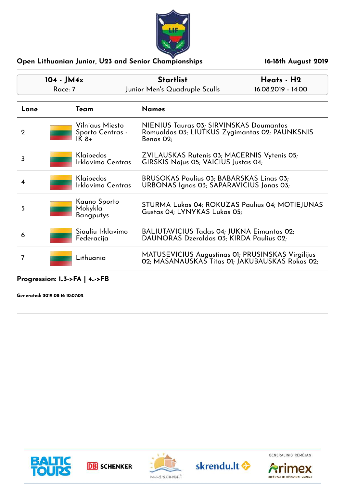

|              | $104 - JM4x$<br>Race: 7 |                                              | <b>Startlist</b><br>Junior Men's Quadruple Sculls                                                      | Heats - H2<br>16.08.2019 - 14:00 |  |
|--------------|-------------------------|----------------------------------------------|--------------------------------------------------------------------------------------------------------|----------------------------------|--|
| Lane         |                         | Team                                         | <b>Names</b>                                                                                           |                                  |  |
| $\mathbf{2}$ |                         | Vilniaus Miesto<br>Sporto Centras -<br>IK 8+ | NIENIUS Tauras 03; SIRVINSKAS Daumantas<br>Romualdas 03; LIUTKUS Zygimantas 02; PAUNKSNIS<br>Benas O2; |                                  |  |
| 3            |                         | Klaipedos<br>Irklavimo Centras               | ZVILAUSKAS Rutenis 03; MACERNIS Vytenis 05;<br>GIRSKIS Nojus 05; VAICIUS Justas 04;                    |                                  |  |
|              |                         | Klaipedos<br>Irklavimo Centras               | <b>BRUSOKAS Paulius 03; BABARSKAS Linas 03;</b><br>URBONAS Ignas 03; SAPARAVICIUS Jonas 03;            |                                  |  |
| 5            |                         | Kauno Sporto<br>Mokykla<br>Bangputys         | STURMA Lukas 04; ROKUZAS Paulius 04; MOTIEJUNAS<br>Gustas 04; LYNYKAS Lukas 05;                        |                                  |  |
| 6            |                         | Siauliu Irklavimo<br>Federacija              | BALIUTAVICIUS Tadas 04; JUKNA Eimantas 02;<br>DAUNORAS Dzeraldas 03; KIRDA Paulius 02;                 |                                  |  |
| 7            |                         | Lithuania                                    | MATUSEVICIUS Augustinas 01; PRUSINSKAS Virgilijus<br>02; MASANAUSKAS Titas 01; JAKUBAUSKAS Rokas 02;   |                                  |  |

## **Progression: 1..3->FA | 4..->FB**

**Generated: 2019-08-16 10:07:02**







skrendu.lt <



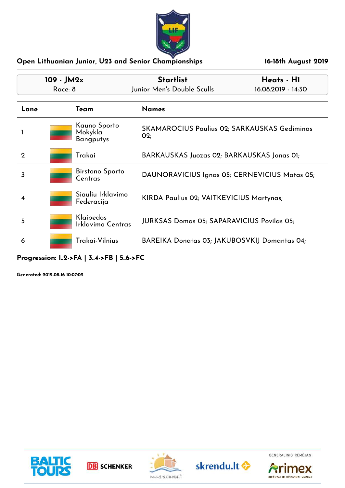

|      | $109 - JM2x$ |                                             | <b>Startlist</b>                                            | Heats - H1         |
|------|--------------|---------------------------------------------|-------------------------------------------------------------|--------------------|
|      | Race: 8      |                                             | Junior Men's Double Sculls                                  | 16.08.2019 - 14:30 |
| Lane |              | Team                                        | <b>Names</b>                                                |                    |
|      |              | Kauno Sporto<br>Mokykla<br><b>Bangputys</b> | <b>SKAMAROCIUS Paulius 02; SARKAUSKAS Gediminas</b><br>O(2) |                    |
| 2    |              | Trakai                                      | BARKAUSKAS Juozas 02; BARKAUSKAS Jonas 01;                  |                    |
| 3    |              | <b>Birstono Sporto</b><br>Centras           | DAUNORAVICIUS Ignas 05; CERNEVICIUS Matas 05;               |                    |
| 4    |              | Siauliu Irklavimo<br>Federacija             | KIRDA Paulius 02; VAITKEVICIUS Martynas;                    |                    |
| 5    |              | Klaipedos<br>Irklavimo Centras              | <b>JURKSAS Domas 05; SAPARAVICIUS Povilas 05;</b>           |                    |
| 6    |              | Trakai-Vilnius                              | BAREIKA Donatas 03; JAKUBOSVKIJ Domantas 04;                |                    |

## **Progression: 1..2->FA | 3..4->FB | 5..6->FC**











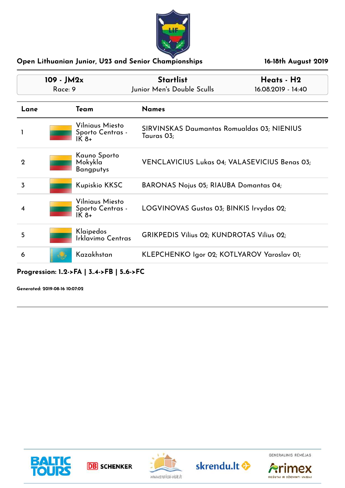

|                | 109 - JM2x<br>Race: 9 |                                               | <b>Startlist</b><br>Junior Men's Double Sculls           | Heats - H2<br>16.08.2019 - 14:40 |
|----------------|-----------------------|-----------------------------------------------|----------------------------------------------------------|----------------------------------|
| Lane           |                       | Team                                          | <b>Names</b>                                             |                                  |
|                |                       | Vilniaus Miesto<br>Sporto Centras -<br>$IK8+$ | SIRVINSKAS Daumantas Romualdas 03; NIENIUS<br>Tauras 03; |                                  |
| $\overline{2}$ |                       | Kauno Sporto<br>Mokykla<br><b>Bangputys</b>   | VENCLAVICIUS Lukas 04; VALASEVICIUS Benas 03;            |                                  |
| 3              |                       | <b>Kupiskio KKSC</b>                          | <b>BARONAS Nojus 05; RIAUBA Domantas 04;</b>             |                                  |
| 4              |                       | Vilniaus Miesto<br>Sporto Centras -<br>$IK8+$ | LOGVINOVAS Gustas 03; BINKIS Irvydas 02;                 |                                  |
| 5              |                       | Klaipedos<br>Irklavimo Centras                | <b>GRIKPEDIS Vilius 02; KUNDROTAS Vilius 02;</b>         |                                  |
| 6              |                       | Kazakhstan                                    | KLEPCHENKO Igor 02; KOTLYAROV Yaroslav 01;               |                                  |

**Progression: 1..2->FA | 3..4->FB | 5..6->FC**

**Generated: 2019-08-16 10:07:02**







skrendu.lt <a>